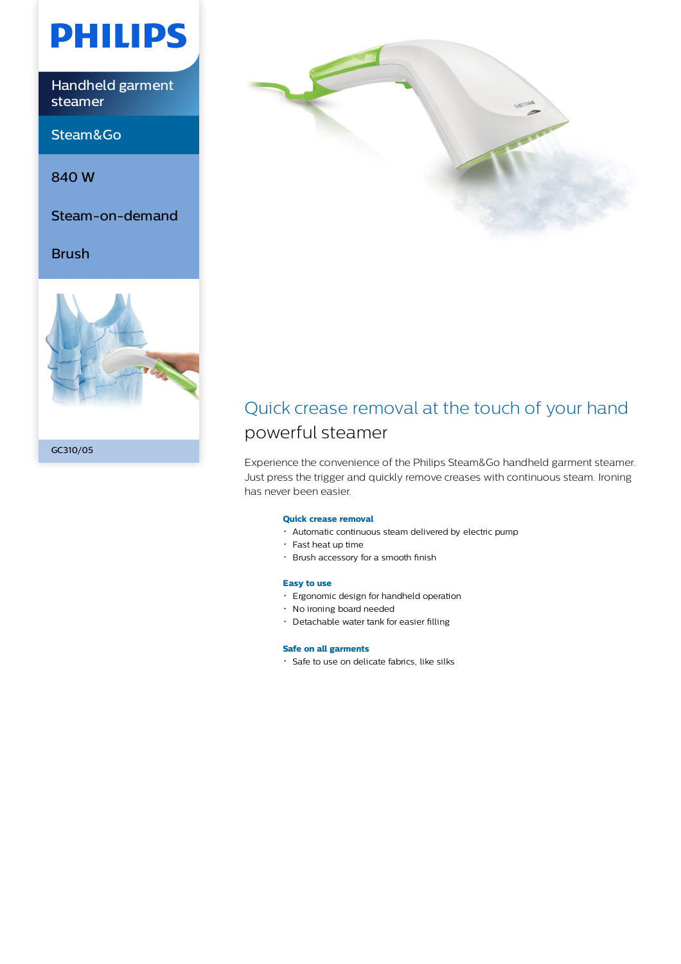# **PHILIPS**

Handheld garment steamer

Steam&Go

840 W

Steam-on-demand

Brush





### Quick crease removal at the touch of your hand powerful steamer

Experience the convenience of the Philips Steam&Go handheld garment steamer. Just press the trigger and quickly remove creases with continuous steam. Ironing has never been easier.

#### **Quick crease removal**

- Automatic continuous steam delivered by electric pump
- Fast heat up time
- Brush accessory for a smooth finish

#### **Easy to use**

- Ergonomic design for handheld operation
- No ironing board needed
- Detachable water tank for easier filling

#### **Safe on all garments**

· Safe to use on delicate fabrics, like silks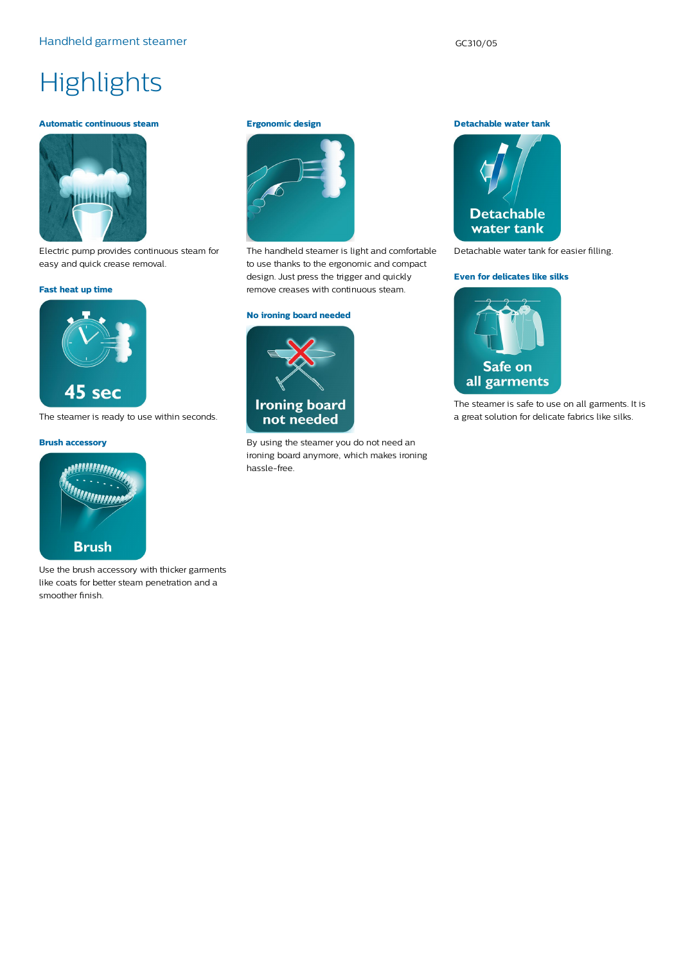## **Highlights**

#### **Automatic continuous steam**



Electric pump provides continuous steam for easy and quick crease removal.

#### **Fast heat up time**



The steamer is ready to use within seconds.

#### **Brush accessory**



Use the brush accessory with thicker garments like coats for better steam penetration and a smoother finish.

#### **Ergonomic design**



The handheld steamer is light and comfortable to use thanks to the ergonomic and compact design. Just press the trigger and quickly remove creases with continuous steam.

#### **No ironing board needed**



By using the steamer you do not need an ironing board anymore, which makes ironing hassle-free.

**Detachable water tank**



Detachable water tank for easier filling.

#### **Even for delicates like silks**



The steamer is safe to use on all garments. It is a great solution for delicate fabrics like silks.